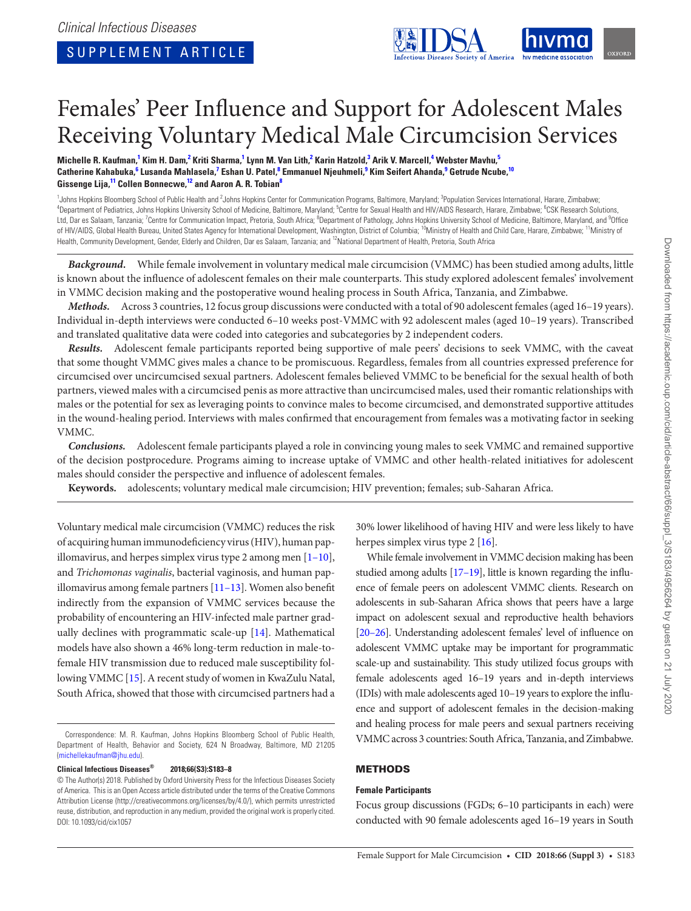

# Females' Peer Influence and Support for Adolescent Males Receiving Voluntary Medical Male Circumcision Services

 ${\sf Michelle\ R.}$  Kaufman, $^1$  Kim H. Dam, $^2$  Kriti Sharma, $^1$  Lynn M. Van Lith, $^2$  Karin Hatzold, $^3$  Arik V. Marcell, $^4$  Webster Mavhu, $^5$  $\bf{C}$ atherine Kahabuka, $^6$  Lusanda Mahlasela, $^7$  Eshan U. Patel, $^8$  Emmanuel Njeuhmeli, $^9$  Kim Seifert Ahanda, $^9$  Getrude Ncube, $^{10}$ **Gissenge Lija,11 Collen Bonnecwe,12 and Aaron A. R. Tobian8**

<sup>1</sup> Johns Hopkins Bloomberg School of Public Health and <sup>2</sup> Johns Hopkins Center for Communication Programs, Baltimore, Maryland; <sup>3</sup>Population Services International, Harare, Zimbabwe;<br><sup>4</sup>Dopertment of Pediatrics, Johns H Department of Pediatrics, Johns Hopkins University School of Medicine, Baltimore, Maryland; <sup>5</sup>Centre for Sexual Health and HIV/AIDS Research, Harare, Zimbabwe; <sup>6</sup>CSK Research Solutions, Ltd, Dar es Salaam, Tanzania; <sup>7</sup>Centre for Communication Impact, Pretoria, South Africa; <sup>8</sup>Department of Pathology, Johns Hopkins University School of Medicine, Baltimore, Maryland, and <sup>9</sup>Office of HIV/AIDS, Global Health Bureau, United States Agency for International Development, Washington, District of Columbia; <sup>10</sup>Ministry of Health and Child Care, Harare, Zimbabwe; <sup>11</sup>Ministry of Health, Community Development, Gender, Elderly and Children, Dar es Salaam, Tanzania; and <sup>12</sup>National Department of Health, Pretoria, South Africa

*Background.* While female involvement in voluntary medical male circumcision (VMMC) has been studied among adults, little is known about the influence of adolescent females on their male counterparts. This study explored adolescent females' involvement in VMMC decision making and the postoperative wound healing process in South Africa, Tanzania, and Zimbabwe.

*Methods.* Across 3 countries, 12 focus group discussions were conducted with a total of 90 adolescent females (aged 16–19 years). Individual in-depth interviews were conducted 6–10 weeks post-VMMC with 92 adolescent males (aged 10–19 years). Transcribed and translated qualitative data were coded into categories and subcategories by 2 independent coders.

*Results.* Adolescent female participants reported being supportive of male peers' decisions to seek VMMC, with the caveat that some thought VMMC gives males a chance to be promiscuous. Regardless, females from all countries expressed preference for circumcised over uncircumcised sexual partners. Adolescent females believed VMMC to be beneficial for the sexual health of both partners, viewed males with a circumcised penis as more attractive than uncircumcised males, used their romantic relationships with males or the potential for sex as leveraging points to convince males to become circumcised, and demonstrated supportive attitudes in the wound-healing period. Interviews with males confirmed that encouragement from females was a motivating factor in seeking VMMC.

*Conclusions.* Adolescent female participants played a role in convincing young males to seek VMMC and remained supportive of the decision postprocedure. Programs aiming to increase uptake of VMMC and other health-related initiatives for adolescent males should consider the perspective and influence of adolescent females.

**Keywords.** adolescents; voluntary medical male circumcision; HIV prevention; females; sub-Saharan Africa.

Voluntary medical male circumcision (VMMC) reduces the risk of acquiring human immunodeficiency virus (HIV), human papillomavirus, and herpes simplex virus type 2 among men  $[1-10]$ , and *Trichomonas vaginalis*, bacterial vaginosis, and human papillomavirus among female partners [11–13]. Women also benefit indirectly from the expansion of VMMC services because the probability of encountering an HIV-infected male partner gradually declines with programmatic scale-up [14]. Mathematical models have also shown a 46% long-term reduction in male-tofemale HIV transmission due to reduced male susceptibility following VMMC [15]. A recent study of women in KwaZulu Natal, South Africa, showed that those with circumcised partners had a

**Clinical Infectious Diseases® 2018;66(S3):S183–8**

30% lower likelihood of having HIV and were less likely to have herpes simplex virus type 2 [16].

While female involvement in VMMC decision making has been studied among adults [17–19], little is known regarding the influence of female peers on adolescent VMMC clients. Research on adolescents in sub-Saharan Africa shows that peers have a large impact on adolescent sexual and reproductive health behaviors [20–26]. Understanding adolescent females' level of influence on adolescent VMMC uptake may be important for programmatic scale-up and sustainability. This study utilized focus groups with female adolescents aged 16–19 years and in-depth interviews (IDIs) with male adolescents aged 10–19 years to explore the influence and support of adolescent females in the decision-making and healing process for male peers and sexual partners receiving VMMC across 3 countries: South Africa, Tanzania, and Zimbabwe.

## METHODS

## **Female Participants**

Focus group discussions (FGDs; 6–10 participants in each) were conducted with 90 female adolescents aged 16–19 years in South

Correspondence: M. R. Kaufman, Johns Hopkins Bloomberg School of Public Health, Department of Health, Behavior and Society, 624 N Broadway, Baltimore, MD 21205 (michellekaufman@jhu.edu).

<sup>©</sup> The Author(s) 2018. Published by Oxford University Press for the Infectious Diseases Society of America. This is an Open Access article distributed under the terms of the Creative Commons Attribution License (http://creativecommons.org/licenses/by/4.0/), which permits unrestricted reuse, distribution, and reproduction in any medium, provided the original work is properly cited. DOI: 10.1093/cid/cix1057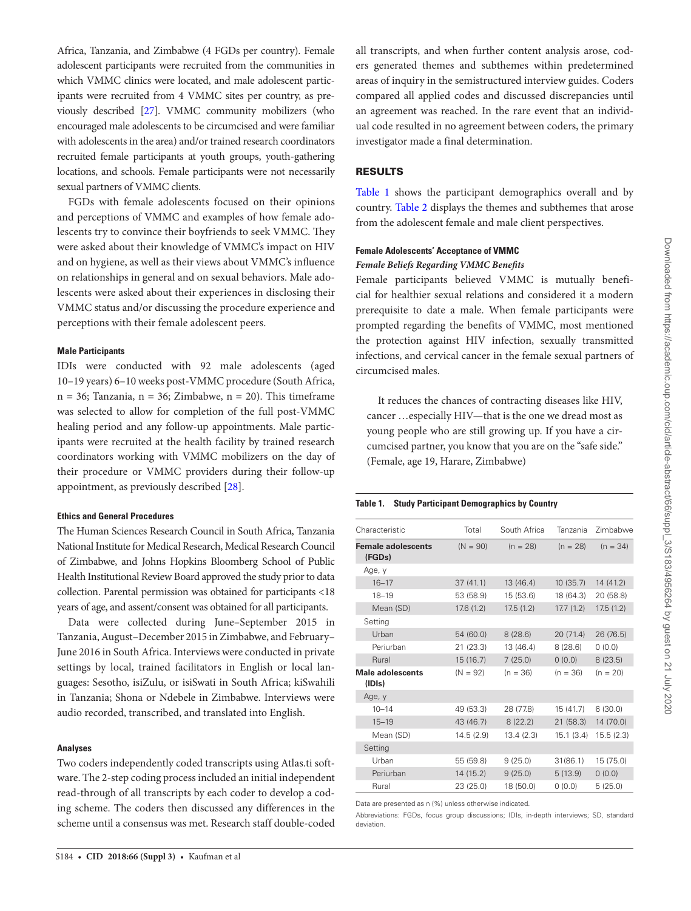Africa, Tanzania, and Zimbabwe (4 FGDs per country). Female adolescent participants were recruited from the communities in which VMMC clinics were located, and male adolescent participants were recruited from 4 VMMC sites per country, as previously described [27]. VMMC community mobilizers (who encouraged male adolescents to be circumcised and were familiar with adolescents in the area) and/or trained research coordinators recruited female participants at youth groups, youth-gathering locations, and schools. Female participants were not necessarily sexual partners of VMMC clients.

FGDs with female adolescents focused on their opinions and perceptions of VMMC and examples of how female adolescents try to convince their boyfriends to seek VMMC. They were asked about their knowledge of VMMC's impact on HIV and on hygiene, as well as their views about VMMC's influence on relationships in general and on sexual behaviors. Male adolescents were asked about their experiences in disclosing their VMMC status and/or discussing the procedure experience and perceptions with their female adolescent peers.

## **Male Participants**

IDIs were conducted with 92 male adolescents (aged 10–19 years) 6–10 weeks post-VMMC procedure (South Africa,  $n = 36$ ; Tanzania,  $n = 36$ ; Zimbabwe,  $n = 20$ ). This timeframe was selected to allow for completion of the full post-VMMC healing period and any follow-up appointments. Male participants were recruited at the health facility by trained research coordinators working with VMMC mobilizers on the day of their procedure or VMMC providers during their follow-up appointment, as previously described [28].

## **Ethics and General Procedures**

The Human Sciences Research Council in South Africa, Tanzania National Institute for Medical Research, Medical Research Council of Zimbabwe, and Johns Hopkins Bloomberg School of Public Health Institutional Review Board approved the study prior to data collection. Parental permission was obtained for participants <18 years of age, and assent/consent was obtained for all participants.

Data were collected during June–September 2015 in Tanzania, August–December 2015 in Zimbabwe, and February– June 2016 in South Africa. Interviews were conducted in private settings by local, trained facilitators in English or local languages: Sesotho, isiZulu, or isiSwati in South Africa; kiSwahili in Tanzania; Shona or Ndebele in Zimbabwe. Interviews were audio recorded, transcribed, and translated into English.

## **Analyses**

Two coders independently coded transcripts using Atlas.ti software. The 2-step coding process included an initial independent read-through of all transcripts by each coder to develop a coding scheme. The coders then discussed any differences in the scheme until a consensus was met. Research staff double-coded all transcripts, and when further content analysis arose, coders generated themes and subthemes within predetermined areas of inquiry in the semistructured interview guides. Coders compared all applied codes and discussed discrepancies until an agreement was reached. In the rare event that an individual code resulted in no agreement between coders, the primary investigator made a final determination.

## RESULTS

Table 1 shows the participant demographics overall and by country. Table 2 displays the themes and subthemes that arose from the adolescent female and male client perspectives.

## **Female Adolescents' Acceptance of VMMC**

## *Female Beliefs Regarding VMMC Benefits*

Female participants believed VMMC is mutually beneficial for healthier sexual relations and considered it a modern prerequisite to date a male. When female participants were prompted regarding the benefits of VMMC, most mentioned the protection against HIV infection, sexually transmitted infections, and cervical cancer in the female sexual partners of circumcised males.

It reduces the chances of contracting diseases like HIV, cancer …especially HIV—that is the one we dread most as young people who are still growing up. If you have a circumcised partner, you know that you are on the "safe side." (Female, age 19, Harare, Zimbabwe)

#### **Table 1. Study Participant Demographics by Country**

| Characteristic                      | Total      | South Africa | Tanzania   | Zimbabwe   |
|-------------------------------------|------------|--------------|------------|------------|
| <b>Female adolescents</b><br>(FGDs) | $(N = 90)$ | $(n = 28)$   | $(n = 28)$ | $(n = 34)$ |
| Age, y                              |            |              |            |            |
| $16 - 17$                           | 37(41.1)   | 13 (46.4)    | 10(35.7)   | 14 (41.2)  |
| $18 - 19$                           | 53 (58.9)  | 15 (53.6)    | 18 (64.3)  | 20 (58.8)  |
| Mean (SD)                           | 17.6(1.2)  | 17.5(1.2)    | 17.7(1.2)  | 17.5(1.2)  |
| Setting                             |            |              |            |            |
| Urban                               | 54 (60.0)  | 8(28.6)      | 20(71.4)   | 26 (76.5)  |
| Periurban                           | 21(23.3)   | 13 (46.4)    | 8 (28.6)   | 0(0.0)     |
| Rural                               | 15(16.7)   | 7(25.0)      | (0.0)      | 8(23.5)    |
| Male adolescents<br>(IDIs)          | $(N = 92)$ | $(n = 36)$   | $(n = 36)$ | $(n = 20)$ |
| Age, y                              |            |              |            |            |
| $10 - 14$                           | 49 (53.3)  | 28 (77.8)    | 15 (41.7)  | 6(30.0)    |
| $15 - 19$                           | 43 (46.7)  | 8(22.2)      | 21(58.3)   | 14 (70.0)  |
| Mean (SD)                           | 14.5(2.9)  | 13.4(2.3)    | 15.1(3.4)  | 15.5(2.3)  |
| Setting                             |            |              |            |            |
| Urban                               | 55 (59.8)  | 9(25.0)      | 31(86.1)   | 15 (75.0)  |
| Periurban                           | 14(15.2)   | 9(25.0)      | 5(13.9)    | 0(0.0)     |
| Rural                               | 23 (25.0)  | 18 (50.0)    | 0(0.0)     | 5(25.0)    |

Data are presented as n (%) unless otherwise indicated.

Abbreviations: FGDs, focus group discussions; IDIs, in-depth interviews; SD, standard deviation.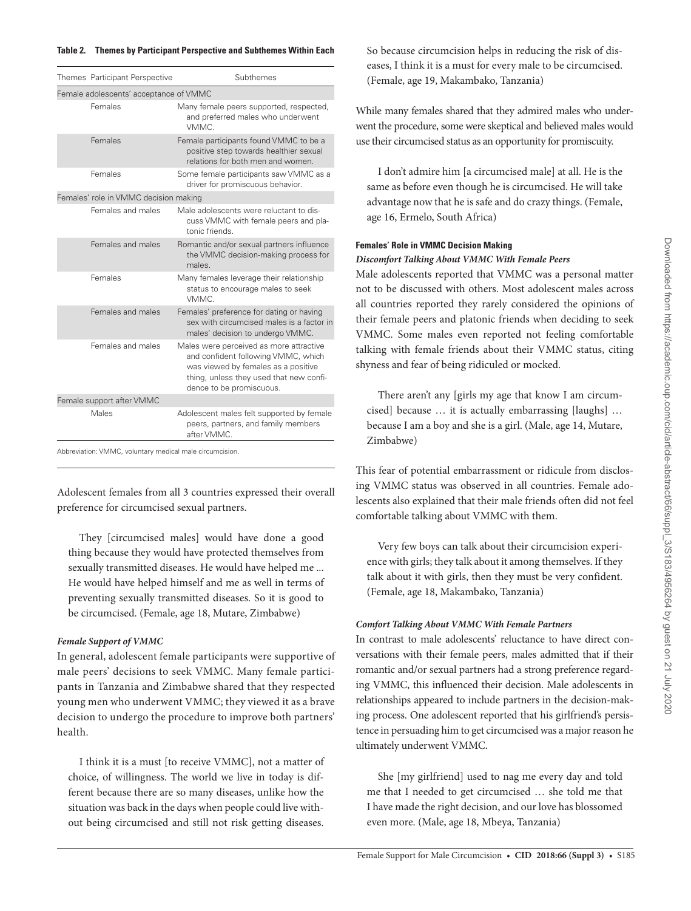## **Table 2. Themes by Participant Perspective and Subthemes Within Each**

|                                        | Themes Participant Perspective | Subthemes                                                                                                                                                                                    |  |  |
|----------------------------------------|--------------------------------|----------------------------------------------------------------------------------------------------------------------------------------------------------------------------------------------|--|--|
| Female adolescents' acceptance of VMMC |                                |                                                                                                                                                                                              |  |  |
|                                        | Females                        | Many female peers supported, respected,<br>and preferred males who underwent<br>VMMC.                                                                                                        |  |  |
|                                        | Females                        | Female participants found VMMC to be a<br>positive step towards healthier sexual<br>relations for both men and women.                                                                        |  |  |
|                                        | Females                        | Some female participants saw VMMC as a<br>driver for promiscuous behavior.                                                                                                                   |  |  |
| Females' role in VMMC decision making  |                                |                                                                                                                                                                                              |  |  |
|                                        | Females and males              | Male adolescents were reluctant to dis-<br>cuss VMMC with female peers and pla-<br>tonic friends                                                                                             |  |  |
|                                        | Females and males              | Romantic and/or sexual partners influence<br>the VMMC decision-making process for<br>males                                                                                                   |  |  |
|                                        | Females                        | Many females leverage their relationship<br>status to encourage males to seek<br>VMMC.                                                                                                       |  |  |
|                                        | Females and males              | Females' preference for dating or having<br>sex with circumcised males is a factor in<br>males' decision to undergo VMMC.                                                                    |  |  |
|                                        | Females and males              | Males were perceived as more attractive<br>and confident following VMMC, which<br>was viewed by females as a positive<br>thing, unless they used that new confi-<br>dence to be promiscuous. |  |  |
|                                        | Female support after VMMC      |                                                                                                                                                                                              |  |  |
|                                        | Males                          | Adolescent males felt supported by female<br>peers, partners, and family members<br>after VMMC.                                                                                              |  |  |

iation: VMMC, voluntary medical male circum

Adolescent females from all 3 countries expressed their overall preference for circumcised sexual partners.

They [circumcised males] would have done a good thing because they would have protected themselves from sexually transmitted diseases. He would have helped me ... He would have helped himself and me as well in terms of preventing sexually transmitted diseases. So it is good to be circumcised. (Female, age 18, Mutare, Zimbabwe)

## *Female Support of VMMC*

In general, adolescent female participants were supportive of male peers' decisions to seek VMMC. Many female participants in Tanzania and Zimbabwe shared that they respected young men who underwent VMMC; they viewed it as a brave decision to undergo the procedure to improve both partners' health.

I think it is a must [to receive VMMC], not a matter of choice, of willingness. The world we live in today is different because there are so many diseases, unlike how the situation was back in the days when people could live without being circumcised and still not risk getting diseases.

So because circumcision helps in reducing the risk of diseases, I think it is a must for every male to be circumcised. (Female, age 19, Makambako, Tanzania)

While many females shared that they admired males who underwent the procedure, some were skeptical and believed males would use their circumcised status as an opportunity for promiscuity.

I don't admire him [a circumcised male] at all. He is the same as before even though he is circumcised. He will take advantage now that he is safe and do crazy things. (Female, age 16, Ermelo, South Africa)

# **Females' Role in VMMC Decision Making**

## *Discomfort Talking About VMMC With Female Peers*

Male adolescents reported that VMMC was a personal matter not to be discussed with others. Most adolescent males across all countries reported they rarely considered the opinions of their female peers and platonic friends when deciding to seek VMMC. Some males even reported not feeling comfortable talking with female friends about their VMMC status, citing shyness and fear of being ridiculed or mocked.

There aren't any [girls my age that know I am circumcised] because … it is actually embarrassing [laughs] … because I am a boy and she is a girl. (Male, age 14, Mutare, Zimbabwe)

This fear of potential embarrassment or ridicule from disclosing VMMC status was observed in all countries. Female adolescents also explained that their male friends often did not feel comfortable talking about VMMC with them.

Very few boys can talk about their circumcision experience with girls; they talk about it among themselves. If they talk about it with girls, then they must be very confident. (Female, age 18, Makambako, Tanzania)

## *Comfort Talking About VMMC With Female Partners*

In contrast to male adolescents' reluctance to have direct conversations with their female peers, males admitted that if their romantic and/or sexual partners had a strong preference regarding VMMC, this influenced their decision. Male adolescents in relationships appeared to include partners in the decision-making process. One adolescent reported that his girlfriend's persistence in persuading him to get circumcised was a major reason he ultimately underwent VMMC.

She [my girlfriend] used to nag me every day and told me that I needed to get circumcised … she told me that I have made the right decision, and our love has blossomed even more. (Male, age 18, Mbeya, Tanzania)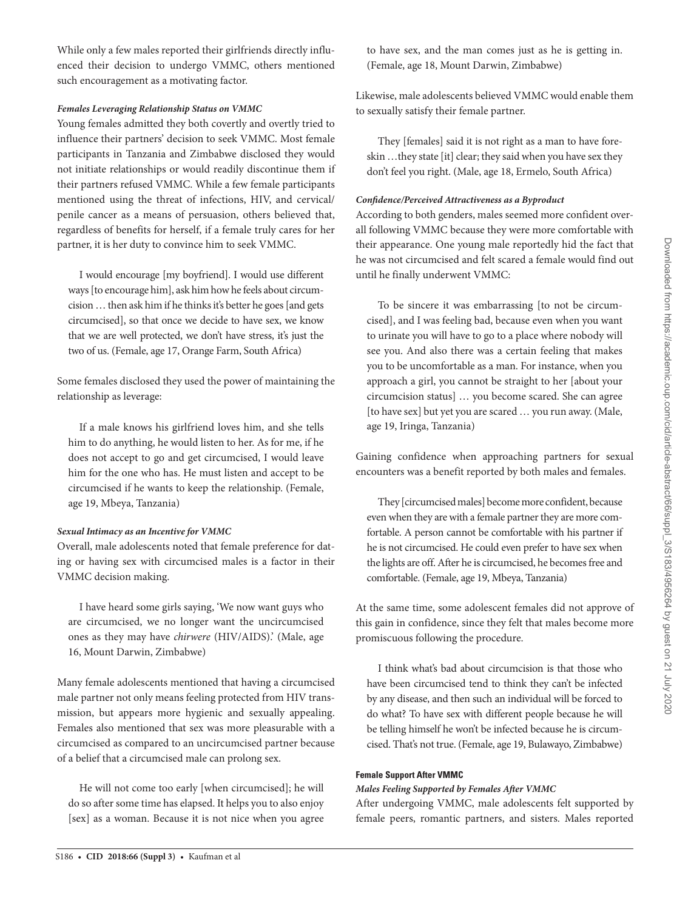While only a few males reported their girlfriends directly influenced their decision to undergo VMMC, others mentioned such encouragement as a motivating factor.

## *Females Leveraging Relationship Status on VMMC*

Young females admitted they both covertly and overtly tried to influence their partners' decision to seek VMMC. Most female participants in Tanzania and Zimbabwe disclosed they would not initiate relationships or would readily discontinue them if their partners refused VMMC. While a few female participants mentioned using the threat of infections, HIV, and cervical/ penile cancer as a means of persuasion, others believed that, regardless of benefits for herself, if a female truly cares for her partner, it is her duty to convince him to seek VMMC.

I would encourage [my boyfriend]. I would use different ways [to encourage him], ask him how he feels about circumcision … then ask him if he thinks it's better he goes [and gets circumcised], so that once we decide to have sex, we know that we are well protected, we don't have stress, it's just the two of us. (Female, age 17, Orange Farm, South Africa)

Some females disclosed they used the power of maintaining the relationship as leverage:

If a male knows his girlfriend loves him, and she tells him to do anything, he would listen to her. As for me, if he does not accept to go and get circumcised, I would leave him for the one who has. He must listen and accept to be circumcised if he wants to keep the relationship. (Female, age 19, Mbeya, Tanzania)

## *Sexual Intimacy as an Incentive for VMMC*

Overall, male adolescents noted that female preference for dating or having sex with circumcised males is a factor in their VMMC decision making.

I have heard some girls saying, 'We now want guys who are circumcised, we no longer want the uncircumcised ones as they may have *chirwere* (HIV/AIDS).' (Male, age 16, Mount Darwin, Zimbabwe)

Many female adolescents mentioned that having a circumcised male partner not only means feeling protected from HIV transmission, but appears more hygienic and sexually appealing. Females also mentioned that sex was more pleasurable with a circumcised as compared to an uncircumcised partner because of a belief that a circumcised male can prolong sex.

He will not come too early [when circumcised]; he will do so after some time has elapsed. It helps you to also enjoy [sex] as a woman. Because it is not nice when you agree to have sex, and the man comes just as he is getting in. (Female, age 18, Mount Darwin, Zimbabwe)

Likewise, male adolescents believed VMMC would enable them to sexually satisfy their female partner.

They [females] said it is not right as a man to have foreskin …they state [it] clear; they said when you have sex they don't feel you right. (Male, age 18, Ermelo, South Africa)

## *Confidence/Perceived Attractiveness as a Byproduct*

According to both genders, males seemed more confident overall following VMMC because they were more comfortable with their appearance. One young male reportedly hid the fact that he was not circumcised and felt scared a female would find out until he finally underwent VMMC:

To be sincere it was embarrassing [to not be circumcised], and I was feeling bad, because even when you want to urinate you will have to go to a place where nobody will see you. And also there was a certain feeling that makes you to be uncomfortable as a man. For instance, when you approach a girl, you cannot be straight to her [about your circumcision status] … you become scared. She can agree [to have sex] but yet you are scared ... you run away. (Male, age 19, Iringa, Tanzania)

Gaining confidence when approaching partners for sexual encounters was a benefit reported by both males and females.

They [circumcised males] become more confident, because even when they are with a female partner they are more comfortable. A person cannot be comfortable with his partner if he is not circumcised. He could even prefer to have sex when the lights are off. After he is circumcised, he becomes free and comfortable. (Female, age 19, Mbeya, Tanzania)

At the same time, some adolescent females did not approve of this gain in confidence, since they felt that males become more promiscuous following the procedure.

I think what's bad about circumcision is that those who have been circumcised tend to think they can't be infected by any disease, and then such an individual will be forced to do what? To have sex with different people because he will be telling himself he won't be infected because he is circumcised. That's not true. (Female, age 19, Bulawayo, Zimbabwe)

## **Female Support After VMMC**

## *Males Feeling Supported by Females After VMMC*

After undergoing VMMC, male adolescents felt supported by female peers, romantic partners, and sisters. Males reported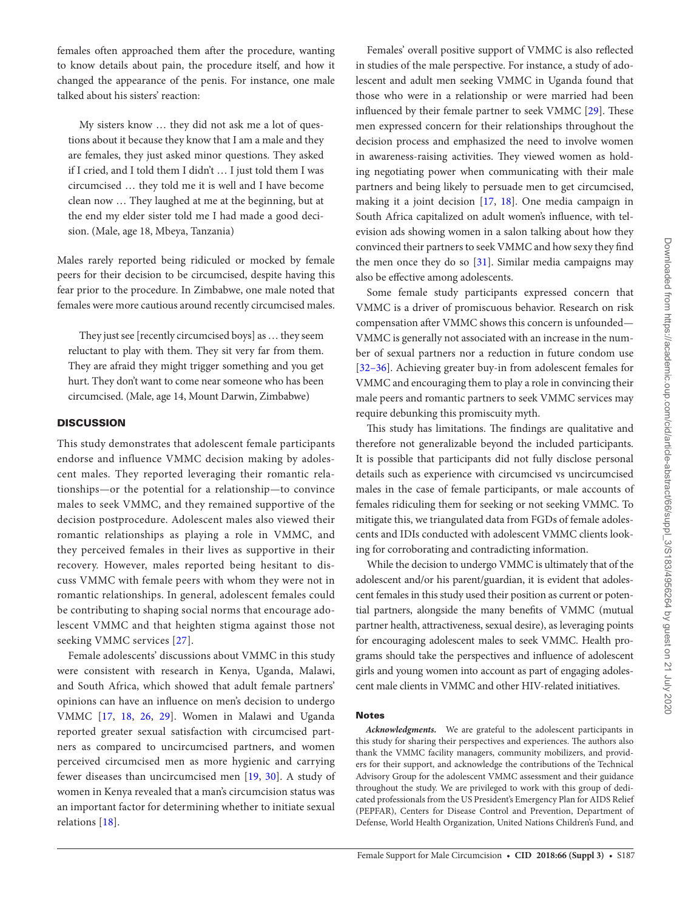females often approached them after the procedure, wanting to know details about pain, the procedure itself, and how it changed the appearance of the penis. For instance, one male talked about his sisters' reaction:

My sisters know … they did not ask me a lot of questions about it because they know that I am a male and they are females, they just asked minor questions. They asked if I cried, and I told them I didn't … I just told them I was circumcised … they told me it is well and I have become clean now … They laughed at me at the beginning, but at the end my elder sister told me I had made a good decision. (Male, age 18, Mbeya, Tanzania)

Males rarely reported being ridiculed or mocked by female peers for their decision to be circumcised, despite having this fear prior to the procedure. In Zimbabwe, one male noted that females were more cautious around recently circumcised males.

They just see [recently circumcised boys] as … they seem reluctant to play with them. They sit very far from them. They are afraid they might trigger something and you get hurt. They don't want to come near someone who has been circumcised. (Male, age 14, Mount Darwin, Zimbabwe)

## **DISCUSSION**

This study demonstrates that adolescent female participants endorse and influence VMMC decision making by adolescent males. They reported leveraging their romantic relationships—or the potential for a relationship—to convince males to seek VMMC, and they remained supportive of the decision postprocedure. Adolescent males also viewed their romantic relationships as playing a role in VMMC, and they perceived females in their lives as supportive in their recovery. However, males reported being hesitant to discuss VMMC with female peers with whom they were not in romantic relationships. In general, adolescent females could be contributing to shaping social norms that encourage adolescent VMMC and that heighten stigma against those not seeking VMMC services [27].

Female adolescents' discussions about VMMC in this study were consistent with research in Kenya, Uganda, Malawi, and South Africa, which showed that adult female partners' opinions can have an influence on men's decision to undergo VMMC [17, 18, 26, 29]. Women in Malawi and Uganda reported greater sexual satisfaction with circumcised partners as compared to uncircumcised partners, and women perceived circumcised men as more hygienic and carrying fewer diseases than uncircumcised men [19, 30]. A study of women in Kenya revealed that a man's circumcision status was an important factor for determining whether to initiate sexual relations [18].

Females' overall positive support of VMMC is also reflected in studies of the male perspective. For instance, a study of adolescent and adult men seeking VMMC in Uganda found that those who were in a relationship or were married had been influenced by their female partner to seek VMMC [29]. These men expressed concern for their relationships throughout the decision process and emphasized the need to involve women in awareness-raising activities. They viewed women as holding negotiating power when communicating with their male partners and being likely to persuade men to get circumcised, making it a joint decision [17, 18]. One media campaign in South Africa capitalized on adult women's influence, with television ads showing women in a salon talking about how they convinced their partners to seek VMMC and how sexy they find the men once they do so [31]. Similar media campaigns may also be effective among adolescents.

Some female study participants expressed concern that VMMC is a driver of promiscuous behavior. Research on risk compensation after VMMC shows this concern is unfounded— VMMC is generally not associated with an increase in the number of sexual partners nor a reduction in future condom use [32–36]. Achieving greater buy-in from adolescent females for VMMC and encouraging them to play a role in convincing their male peers and romantic partners to seek VMMC services may require debunking this promiscuity myth.

This study has limitations. The findings are qualitative and therefore not generalizable beyond the included participants. It is possible that participants did not fully disclose personal details such as experience with circumcised vs uncircumcised males in the case of female participants, or male accounts of females ridiculing them for seeking or not seeking VMMC. To mitigate this, we triangulated data from FGDs of female adolescents and IDIs conducted with adolescent VMMC clients looking for corroborating and contradicting information.

While the decision to undergo VMMC is ultimately that of the adolescent and/or his parent/guardian, it is evident that adolescent females in this study used their position as current or potential partners, alongside the many benefits of VMMC (mutual partner health, attractiveness, sexual desire), as leveraging points for encouraging adolescent males to seek VMMC. Health programs should take the perspectives and influence of adolescent girls and young women into account as part of engaging adolescent male clients in VMMC and other HIV-related initiatives.

#### Notes

*Acknowledgments.* We are grateful to the adolescent participants in this study for sharing their perspectives and experiences. The authors also thank the VMMC facility managers, community mobilizers, and providers for their support, and acknowledge the contributions of the Technical Advisory Group for the adolescent VMMC assessment and their guidance throughout the study. We are privileged to work with this group of dedicated professionals from the US President's Emergency Plan for AIDS Relief (PEPFAR), Centers for Disease Control and Prevention, Department of Defense, World Health Organization, United Nations Children's Fund, and